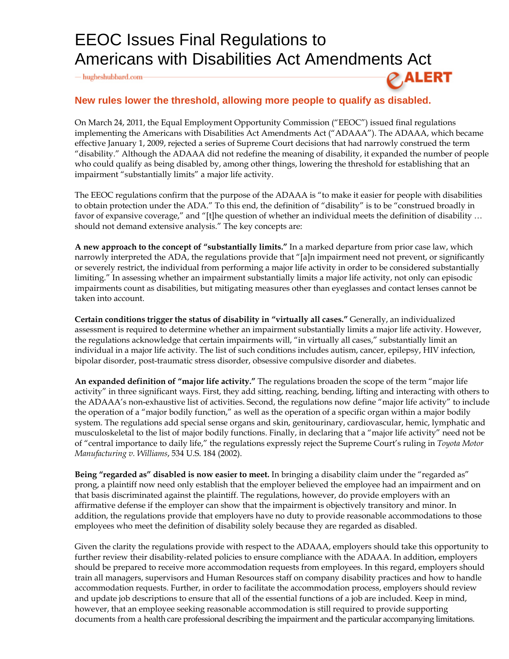## EEOC Issues Final Regulations to Americans with Disabilities Act Amendments Act

 $-\hbox{hugheshubbard.com}$ 

## **New rules lower the threshold, allowing more people to qualify as disabled.**

On March 24, 2011, the Equal Employment Opportunity Commission ("EEOC") issued final regulations implementing the Americans with Disabilities Act Amendments Act ("ADAAA"). The ADAAA, which became effective January 1, 2009, rejected a series of Supreme Court decisions that had narrowly construed the term "disability." Although the ADAAA did not redefine the meaning of disability, it expanded the number of people who could qualify as being disabled by, among other things, lowering the threshold for establishing that an impairment "substantially limits" a major life activity.

 $\varphi$  ALERT

The EEOC regulations confirm that the purpose of the ADAAA is "to make it easier for people with disabilities to obtain protection under the ADA." To this end, the definition of "disability" is to be "construed broadly in favor of expansive coverage," and "[t]he question of whether an individual meets the definition of disability … should not demand extensive analysis." The key concepts are:

**A new approach to the concept of "substantially limits."** In a marked departure from prior case law, which narrowly interpreted the ADA, the regulations provide that "[a]n impairment need not prevent, or significantly or severely restrict, the individual from performing a major life activity in order to be considered substantially limiting." In assessing whether an impairment substantially limits a major life activity, not only can episodic impairments count as disabilities, but mitigating measures other than eyeglasses and contact lenses cannot be taken into account.

**Certain conditions trigger the status of disability in "virtually all cases."** Generally, an individualized assessment is required to determine whether an impairment substantially limits a major life activity. However, the regulations acknowledge that certain impairments will, "in virtually all cases," substantially limit an individual in a major life activity. The list of such conditions includes autism, cancer, epilepsy, HIV infection, bipolar disorder, post-traumatic stress disorder, obsessive compulsive disorder and diabetes.

**An expanded definition of "major life activity."** The regulations broaden the scope of the term "major life activity" in three significant ways. First, they add sitting, reaching, bending, lifting and interacting with others to the ADAAA's non-exhaustive list of activities. Second, the regulations now define "major life activity" to include the operation of a "major bodily function," as well as the operation of a specific organ within a major bodily system. The regulations add special sense organs and skin, genitourinary, cardiovascular, hemic, lymphatic and musculoskeletal to the list of major bodily functions. Finally, in declaring that a "major life activity" need not be of "central importance to daily life," the regulations expressly reject the Supreme Court's ruling in *Toyota Motor Manufacturing v. Williams*, 534 U.S. 184 (2002).

**Being "regarded as" disabled is now easier to meet.** In bringing a disability claim under the "regarded as" prong, a plaintiff now need only establish that the employer believed the employee had an impairment and on that basis discriminated against the plaintiff. The regulations, however, do provide employers with an affirmative defense if the employer can show that the impairment is objectively transitory and minor. In addition, the regulations provide that employers have no duty to provide reasonable accommodations to those employees who meet the definition of disability solely because they are regarded as disabled.

Given the clarity the regulations provide with respect to the ADAAA, employers should take this opportunity to further review their disability-related policies to ensure compliance with the ADAAA. In addition, employers should be prepared to receive more accommodation requests from employees. In this regard, employers should train all managers, supervisors and Human Resources staff on company disability practices and how to handle accommodation requests. Further, in order to facilitate the accommodation process, employers should review and update job descriptions to ensure that all of the essential functions of a job are included. Keep in mind, however, that an employee seeking reasonable accommodation is still required to provide supporting documents from a health care professional describing the impairment and the particular accompanying limitations.